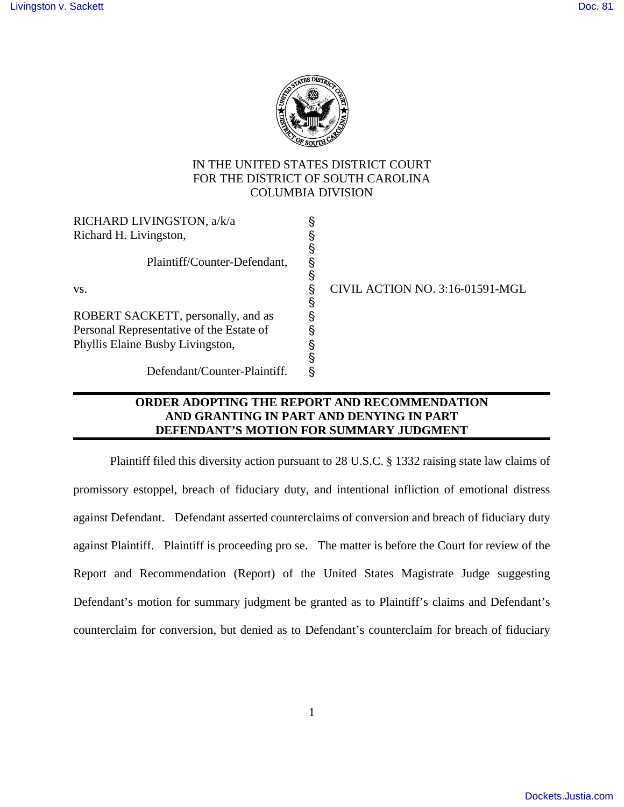

## IN THE UNITED STATES DISTRICT COURT FOR THE DISTRICT OF SOUTH CAROLINA COLUMBIA DIVISION

| RICHARD LIVINGSTON, a/k/a                |                                 |
|------------------------------------------|---------------------------------|
| Richard H. Livingston,                   |                                 |
|                                          |                                 |
| Plaintiff/Counter-Defendant,             |                                 |
|                                          |                                 |
| VS.                                      | CIVIL ACTION NO. 3:16-01591-MGL |
|                                          |                                 |
| ROBERT SACKETT, personally, and as       |                                 |
| Personal Representative of the Estate of |                                 |
| Phyllis Elaine Busby Livingston,         |                                 |
|                                          |                                 |
| Defendant/Counter-Plaintiff.             |                                 |
|                                          |                                 |

## **ORDER ADOPTING THE REPORT AND RECOMMENDATION AND GRANTING IN PART AND DENYING IN PART DEFENDANT'S MOTION FOR SUMMARY JUDGMENT**

Plaintiff filed this diversity action pursuant to 28 U.S.C. § 1332 raising state law claims of promissory estoppel, breach of fiduciary duty, and intentional infliction of emotional distress against Defendant. Defendant asserted counterclaims of conversion and breach of fiduciary duty against Plaintiff. Plaintiff is proceeding pro se. The matter is before the Court for review of the Report and Recommendation (Report) of the United States Magistrate Judge suggesting Defendant's motion for summary judgment be granted as to Plaintiff's claims and Defendant's counterclaim for conversion, but denied as to Defendant's counterclaim for breach of fiduciary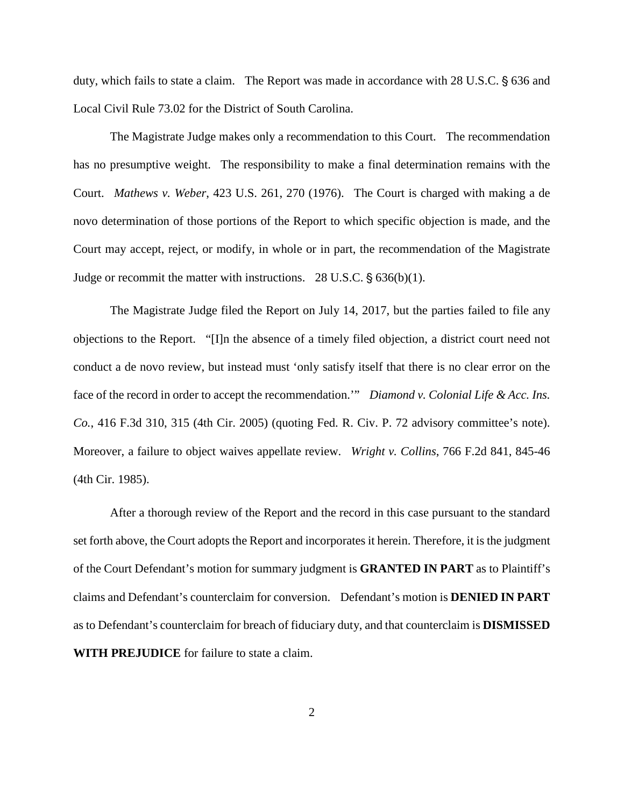duty, which fails to state a claim. The Report was made in accordance with 28 U.S.C. § 636 and Local Civil Rule 73.02 for the District of South Carolina.

The Magistrate Judge makes only a recommendation to this Court. The recommendation has no presumptive weight. The responsibility to make a final determination remains with the Court. *Mathews v. Weber*, 423 U.S. 261, 270 (1976). The Court is charged with making a de novo determination of those portions of the Report to which specific objection is made, and the Court may accept, reject, or modify, in whole or in part, the recommendation of the Magistrate Judge or recommit the matter with instructions.  $28 \text{ U.S.C.}$  §  $636(b)(1)$ .

The Magistrate Judge filed the Report on July 14, 2017, but the parties failed to file any objections to the Report. "[I]n the absence of a timely filed objection, a district court need not conduct a de novo review, but instead must 'only satisfy itself that there is no clear error on the face of the record in order to accept the recommendation.'" *Diamond v. Colonial Life & Acc. Ins. Co.*, 416 F.3d 310, 315 (4th Cir. 2005) (quoting Fed. R. Civ. P. 72 advisory committee's note). Moreover, a failure to object waives appellate review. *Wright v. Collins*, 766 F.2d 841, 845-46 (4th Cir. 1985).

After a thorough review of the Report and the record in this case pursuant to the standard set forth above, the Court adopts the Report and incorporates it herein. Therefore, it is the judgment of the Court Defendant's motion for summary judgment is **GRANTED IN PART** as to Plaintiff's claims and Defendant's counterclaim for conversion. Defendant's motion is **DENIED IN PART** as to Defendant's counterclaim for breach of fiduciary duty, and that counterclaim is **DISMISSED WITH PREJUDICE** for failure to state a claim.